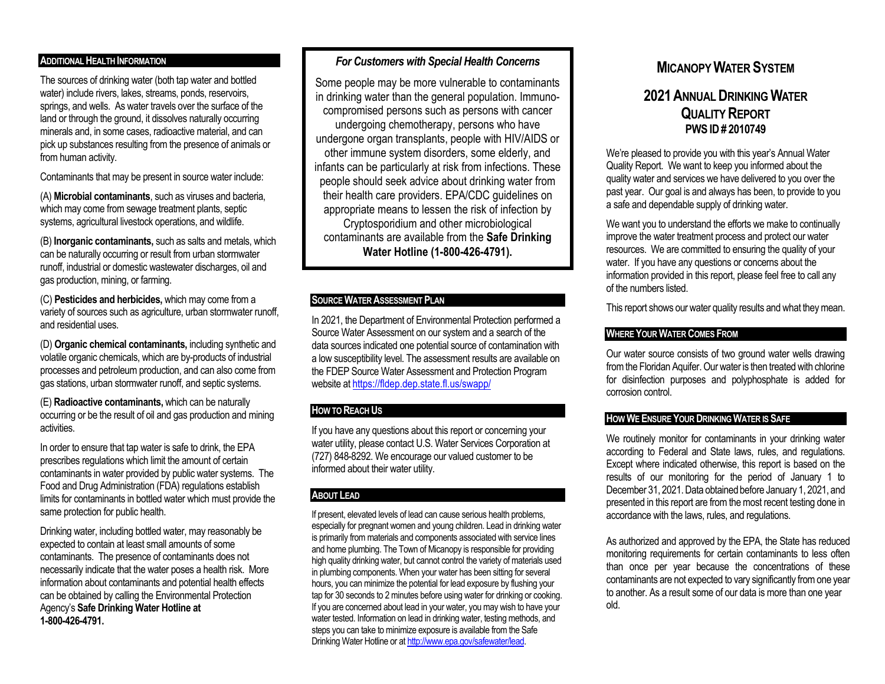# **ADDITIONAL HEALTH INFORMATION**

The sources of drinking water (both tap water and bottled water) include rivers, lakes, streams, ponds, reservoirs, springs, and wells. As water travels over the surface of the land or through the ground, it dissolves naturally occurring minerals and, in some cases, radioactive material, and can pick up substances resulting from the presence of animals or from human activity.

Contaminants that may be present in source water include:

(A) **Microbial contaminants**, such as viruses and bacteria, which may come from sewage treatment plants, septic systems, agricultural livestock operations, and wildlife.

(B) **Inorganic contaminants,** such as salts and metals, which can be naturally occurring or result from urban stormwater runoff, industrial or domestic wastewater discharges, oil and gas production, mining, or farming.

(C) **Pesticides and herbicides,** which may come from a variety of sources such as agriculture, urban stormwater runoff, and residential uses.

(D) **Organic chemical contaminants,** including synthetic and volatile organic chemicals, which are by-products of industrial processes and petroleum production, and can also come from gas stations, urban stormwater runoff, and septic systems.

(E) **Radioactive contaminants,** which can be naturally occurring or be the result of oil and gas production and mining activities.

In order to ensure that tap water is safe to drink, the EPA prescribes regulations which limit the amount of certain contaminants in water provided by public water systems. The Food and Drug Administration (FDA) regulations establish limits for contaminants in bottled water which must provide the same protection for public health.

Drinking water, including bottled water, may reasonably be expected to contain at least small amounts of some contaminants. The presence of contaminants does not necessarily indicate that the water poses a health risk. More information about contaminants and potential health effects can be obtained by calling the Environmental Protection Agency's **Safe Drinking Water Hotline at 1-800-426-4791.**

# *For Customers with Special Health Concerns*

Some people may be more vulnerable to contaminants in drinking water than the general population. Immunocompromised persons such as persons with cancer undergoing chemotherapy, persons who have undergone organ transplants, people with HIV/AIDS or other immune system disorders, some elderly, and infants can be particularly at risk from infections. These people should seek advice about drinking water from their health care providers. EPA/CDC guidelines on appropriate means to lessen the risk of infection by Cryptosporidium and other microbiological contaminants are available from the **Safe Drinking Water Hotline (1-800-426-4791).**

# **SOURCE WATER ASSESSMENT PLAN**

In 2021, the Department of Environmental Protection performed a Source Water Assessment on our system and a search of the data sources indicated one potential source of contamination with a low susceptibility level. The assessment results are available on the FDEP Source Water Assessment and Protection Program website a[t https://fldep.dep.state.fl.us/swapp/](https://fldep.dep.state.fl.us/swapp/)

# **HOW TO REACH US**

If you have any questions about this report or concerning your water utility, please contact U.S. Water Services Corporation at (727) 848-8292. We encourage our valued customer to be informed about their water utility.

# **ABOUT LEAD**

If present, elevated levels of lead can cause serious health problems, especially for pregnant women and young children. Lead in drinking water is primarily from materials and components associated with service lines and home plumbing. The Town of Micanopy is responsible for providing high quality drinking water, but cannot control the variety of materials used in plumbing components. When your water has been sitting for several hours, you can minimize the potential for lead exposure by flushing your tap for 30 seconds to 2 minutes before using water for drinking or cooking. If you are concerned about lead in your water, you may wish to have your water tested. Information on lead in drinking water, testing methods, and steps you can take to minimize exposure is available from the Safe Drinking Water Hotline or a[t http://www.epa.gov/safewater/lead.](http://www.epa.gov/safewater/lead) 

# **MICANOPY WATER SYSTEM**

# **2021ANNUAL DRINKING WATER QUALITY REPORT PWS ID# 2010749**

We're pleased to provide you with this year's Annual Water Quality Report. We want to keep you informed about the quality water and services we have delivered to you over the past year. Our goal is and always has been, to provide to you a safe and dependable supply of drinking water.

We want you to understand the efforts we make to continually improve the water treatment process and protect our water resources. We are committed to ensuring the quality of your water. If you have any questions or concerns about the information provided in this report, please feel free to call any of the numbers listed.

This report shows our water quality results and what they mean.

# **WHERE YOUR WATER COMES FROM**

Our water source consists of two ground water wells drawing from the Floridan Aquifer. Our water is then treated with chlorine for disinfection purposes and polyphosphate is added for corrosion control.

# **HOW WE ENSURE YOUR DRINKING WATER IS SAFE**

We routinely monitor for contaminants in your drinking water according to Federal and State laws, rules, and regulations. Except where indicated otherwise, this report is based on the results of our monitoring for the period of January 1 to December 31, 2021. Data obtained before January 1, 2021, and presented in this report are from the most recent testing done in accordance with the laws, rules, and regulations.

As authorized and approved by the EPA, the State has reduced monitoring requirements for certain contaminants to less often than once per year because the concentrations of these contaminants are not expected to vary significantly from one year to another. As a result some of our data is more than one year old.